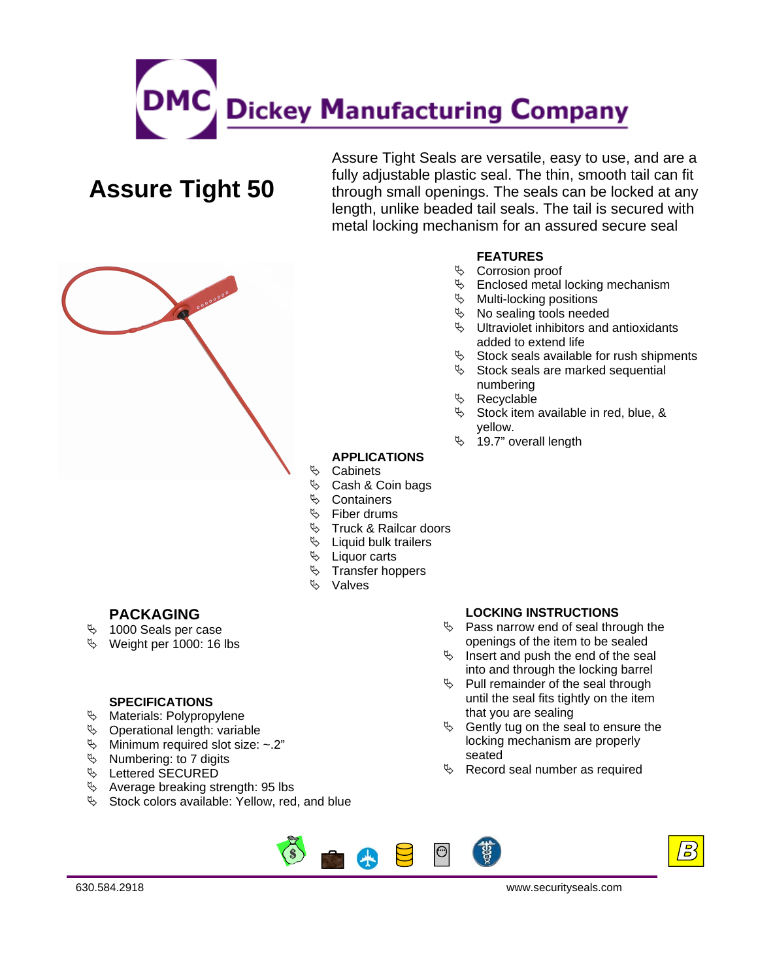

# **Assure Tight 50**

Assure Tight Seals are versatile, easy to use, and are a fully adjustable plastic seal. The thin, smooth tail can fit through small openings. The seals can be locked at any length, unlike beaded tail seals. The tail is secured with metal locking mechanism for an assured secure seal



- $\%$  Corrosion proof
- $\%$  Enclosed metal locking mechanism
- $\%$  Multi-locking positions
- $\%$  No sealing tools needed
- $\%$  Ultraviolet inhibitors and antioxidants added to extend life
- $\%$  Stock seals available for rush shipments
- $\%$  Stock seals are marked sequential numbering
- ª Recyclable
- $\%$  Stock item available in red, blue, & yellow.
- $\%$  19.7" overall length

## **APPLICATIONS**

- ª Cabinets
- $\%$  Cash & Coin bags
- $\%$  Containers
- $\%$  Fiber drums
- $\%$  Truck & Railcar doors
- $\%$  Liquid bulk trailers
- $\%$  Liquor carts
- $\%$  Transfer hoppers
- ª Valves

## **PACKAGING**

- $\%$  1000 Seals per case
- $\%$  Weight per 1000: 16 lbs

### **SPECIFICATIONS**

- $\%$  Materials: Polypropylene
- $\%$  Operational length: variable
- $\%$  Minimum required slot size: ~.2"
- $\%$  Numbering: to 7 digits
- $\%$  Lettered SECURED
- $\%$  Average breaking strength: 95 lbs
- $\%$  Stock colors available: Yellow, red, and blue

#### **LOCKING INSTRUCTIONS**

- $\%$  Pass narrow end of seal through the openings of the item to be sealed
- $\%$  Insert and push the end of the seal into and through the locking barrel
- $\%$  Pull remainder of the seal through until the seal fits tightly on the item that you are sealing
- $\%$  Gently tug on the seal to ensure the locking mechanism are properly seated
- $\%$  Record seal number as required





630.584.2918 www.securityseals.com